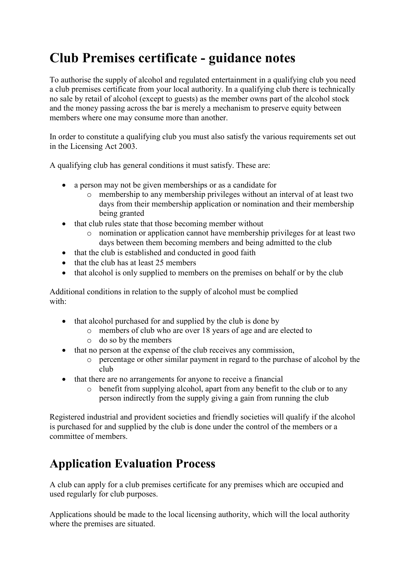## **Club Premises certificate - guidance notes**

To authorise the supply of alcohol and regulated entertainment in a qualifying club you need a club premises certificate from your local authority. In a qualifying club there is technically no sale by retail of alcohol (except to guests) as the member owns part of the alcohol stock and the money passing across the bar is merely a mechanism to preserve equity between members where one may consume more than another.

In order to constitute a qualifying club you must also satisfy the various requirements set out in the Licensing Act 2003.

A qualifying club has general conditions it must satisfy. These are:

- a person may not be given memberships or as a candidate for
	- o membership to any membership privileges without an interval of at least two days from their membership application or nomination and their membership being granted
- that club rules state that those becoming member without
	- o nomination or application cannot have membership privileges for at least two days between them becoming members and being admitted to the club
- that the club is established and conducted in good faith
- that the club has at least 25 members
- that alcohol is only supplied to members on the premises on behalf or by the club

Additional conditions in relation to the supply of alcohol must be complied with:

- that alcohol purchased for and supplied by the club is done by
	- o members of club who are over 18 years of age and are elected to
	- o do so by the members
- that no person at the expense of the club receives any commission,
	- o percentage or other similar payment in regard to the purchase of alcohol by the club
- that there are no arrangements for anyone to receive a financial
	- o benefit from supplying alcohol, apart from any benefit to the club or to any person indirectly from the supply giving a gain from running the club

Registered industrial and provident societies and friendly societies will qualify if the alcohol is purchased for and supplied by the club is done under the control of the members or a committee of members.

## **Application Evaluation Process**

A club can apply for a club premises certificate for any premises which are occupied and used regularly for club purposes.

Applications should be made to the local licensing authority, which will the local authority where the premises are situated.